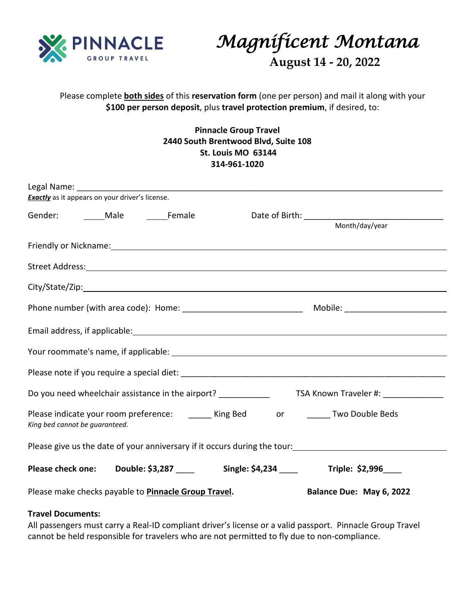

*Magnificent Montana* 

 **August 14 - 20, 2022**

## Please complete **both sides** of this **reservation form** (one per person) and mail it along with your **\$100 per person deposit**, plus **travel protection premium**, if desired, to:

**Pinnacle Group Travel 2440 South Brentwood Blvd, Suite 108 St. Louis MO 63144 314-961-1020**

| <b>Exactly</b> as it appears on your driver's license.                                                                                                                                                                         |  |  |  |                                                                                 |
|--------------------------------------------------------------------------------------------------------------------------------------------------------------------------------------------------------------------------------|--|--|--|---------------------------------------------------------------------------------|
| Gender: Male Female                                                                                                                                                                                                            |  |  |  | Month/day/year                                                                  |
| Friendly or Nickname: 1999 and 2008 and 2009 and 2009 and 2009 and 2009 and 2009 and 2009 and 2009 and 2009 and 2009 and 2009 and 2009 and 2009 and 2009 and 2009 and 2009 and 2009 and 2009 and 2009 and 2009 and 2009 and 20 |  |  |  |                                                                                 |
|                                                                                                                                                                                                                                |  |  |  |                                                                                 |
|                                                                                                                                                                                                                                |  |  |  |                                                                                 |
|                                                                                                                                                                                                                                |  |  |  |                                                                                 |
|                                                                                                                                                                                                                                |  |  |  |                                                                                 |
|                                                                                                                                                                                                                                |  |  |  |                                                                                 |
|                                                                                                                                                                                                                                |  |  |  |                                                                                 |
|                                                                                                                                                                                                                                |  |  |  |                                                                                 |
| Please indicate your room preference: _______ King Bed ______ or _______ Two Double Beds<br>King bed cannot be guaranteed.                                                                                                     |  |  |  |                                                                                 |
| Please give us the date of your anniversary if it occurs during the tour:                                                                                                                                                      |  |  |  |                                                                                 |
|                                                                                                                                                                                                                                |  |  |  | Please check one: Double: \$3,287 ____ Single: \$4,234 ____ Triple: \$2,996 ___ |
| Please make checks payable to Pinnacle Group Travel.                                                                                                                                                                           |  |  |  | Balance Due: May 6, 2022                                                        |
|                                                                                                                                                                                                                                |  |  |  |                                                                                 |

## **Travel Documents:**

All passengers must carry a Real-ID compliant driver's license or a valid passport. Pinnacle Group Travel cannot be held responsible for travelers who are not permitted to fly due to non-compliance.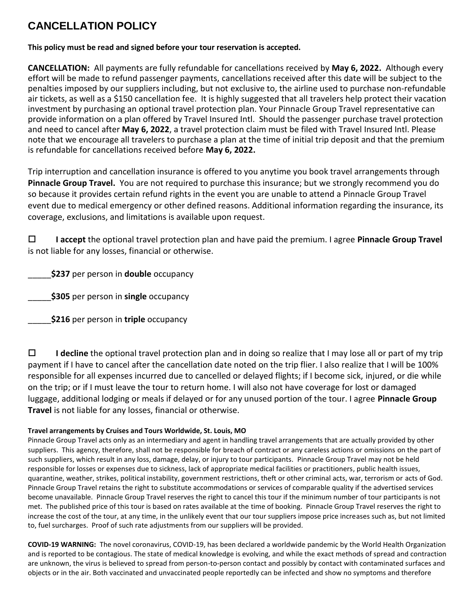## **CANCELLATION POLICY**

**This policy must be read and signed before your tour reservation is accepted.** 

**CANCELLATION:** All payments are fully refundable for cancellations received by **May 6, 2022.** Although every effort will be made to refund passenger payments, cancellations received after this date will be subject to the penalties imposed by our suppliers including, but not exclusive to, the airline used to purchase non-refundable air tickets, as well as a \$150 cancellation fee. It is highly suggested that all travelers help protect their vacation investment by purchasing an optional travel protection plan. Your Pinnacle Group Travel representative can provide information on a plan offered by Travel Insured Intl. Should the passenger purchase travel protection and need to cancel after **May 6, 2022**, a travel protection claim must be filed with Travel Insured Intl. Please note that we encourage all travelers to purchase a plan at the time of initial trip deposit and that the premium is refundable for cancellations received before **May 6, 2022.**

Trip interruption and cancellation insurance is offered to you anytime you book travel arrangements through **Pinnacle Group Travel.** You are not required to purchase this insurance; but we strongly recommend you do so because it provides certain refund rights in the event you are unable to attend a Pinnacle Group Travel event due to medical emergency or other defined reasons. Additional information regarding the insurance, its coverage, exclusions, and limitations is available upon request.

 **I accept** the optional travel protection plan and have paid the premium. I agree **Pinnacle Group Travel** is not liable for any losses, financial or otherwise.

\_\_\_\_\_**\$237** per person in **double** occupancy

\_\_\_\_\_**\$305** per person in **single** occupancy

\_\_\_\_\_**\$216** per person in **triple** occupancy

 **I decline** the optional travel protection plan and in doing so realize that I may lose all or part of my trip payment if I have to cancel after the cancellation date noted on the trip flier. I also realize that I will be 100% responsible for all expenses incurred due to cancelled or delayed flights; if I become sick, injured, or die while on the trip; or if I must leave the tour to return home. I will also not have coverage for lost or damaged luggage, additional lodging or meals if delayed or for any unused portion of the tour. I agree **Pinnacle Group Travel** is not liable for any losses, financial or otherwise.

## **Travel arrangements by Cruises and Tours Worldwide, St. Louis, MO**

Pinnacle Group Travel acts only as an intermediary and agent in handling travel arrangements that are actually provided by other suppliers. This agency, therefore, shall not be responsible for breach of contract or any careless actions or omissions on the part of such suppliers, which result in any loss, damage, delay, or injury to tour participants. Pinnacle Group Travel may not be held responsible for losses or expenses due to sickness, lack of appropriate medical facilities or practitioners, public health issues, quarantine, weather, strikes, political instability, government restrictions, theft or other criminal acts, war, terrorism or acts of God. Pinnacle Group Travel retains the right to substitute accommodations or services of comparable quality if the advertised services become unavailable. Pinnacle Group Travel reserves the right to cancel this tour if the minimum number of tour participants is not met. The published price of this tour is based on rates available at the time of booking. Pinnacle Group Travel reserves the right to increase the cost of the tour, at any time, in the unlikely event that our tour suppliers impose price increases such as, but not limited to, fuel surcharges. Proof of such rate adjustments from our suppliers will be provided.

**COVID-19 WARNING:** The novel coronavirus, COVID-19, has been declared a worldwide pandemic by the World Health Organization and is reported to be contagious. The state of medical knowledge is evolving, and while the exact methods of spread and contraction are unknown, the virus is believed to spread from person-to-person contact and possibly by contact with contaminated surfaces and objects or in the air. Both vaccinated and unvaccinated people reportedly can be infected and show no symptoms and therefore